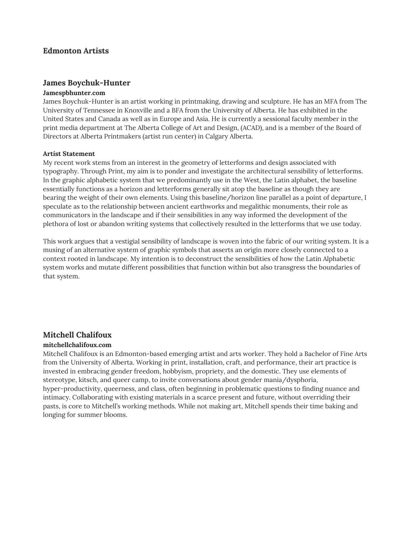## **Edmonton Artists**

### **James Boychuk-Hunter**

#### **Jamespbhunter.com**

James Boychuk-Hunter is an artist working in printmaking, drawing and sculpture. He has an MFA from The University of Tennessee in Knoxville and a BFA from the University of Alberta. He has exhibited in the United States and Canada as well as in Europe and Asia. He is currently a sessional faculty member in the print media department at The Alberta College of Art and Design, (ACAD), and is a member of the Board of Directors at Alberta Printmakers (artist run center) in Calgary Alberta.

#### **Artist Statement**

My recent work stems from an interest in the geometry of letterforms and design associated with typography. Through Print, my aim is to ponder and investigate the architectural sensibility of letterforms. In the graphic alphabetic system that we predominantly use in the West, the Latin alphabet, the baseline essentially functions as a horizon and letterforms generally sit atop the baseline as though they are bearing the weight of their own elements. Using this baseline/horizon line parallel as a point of departure, I speculate as to the relationship between ancient earthworks and megalithic monuments, their role as communicators in the landscape and if their sensibilities in any way informed the development of the plethora of lost or abandon writing systems that collectively resulted in the letterforms that we use today.

This work argues that a vestigial sensibility of landscape is woven into the fabric of our writing system. It is a musing of an alternative system of graphic symbols that asserts an origin more closely connected to a context rooted in landscape. My intention is to deconstruct the sensibilities of how the Latin Alphabetic system works and mutate different possibilities that function within but also transgress the boundaries of that system.

## **Mitchell Chalifoux**

#### **mitchellchalifoux.com**

Mitchell Chalifoux is an Edmonton-based emerging artist and arts worker. They hold a Bachelor of Fine Arts from the University of Alberta. Working in print, installation, craft, and performance, their art practice is invested in embracing gender freedom, hobbyism, propriety, and the domestic. They use elements of stereotype, kitsch, and queer camp, to invite conversations about gender mania/dysphoria, hyper-productivity, queerness, and class, often beginning in problematic questions to finding nuance and intimacy. Collaborating with existing materials in a scarce present and future, without overriding their pasts, is core to Mitchell's working methods. While not making art, Mitchell spends their time baking and longing for summer blooms.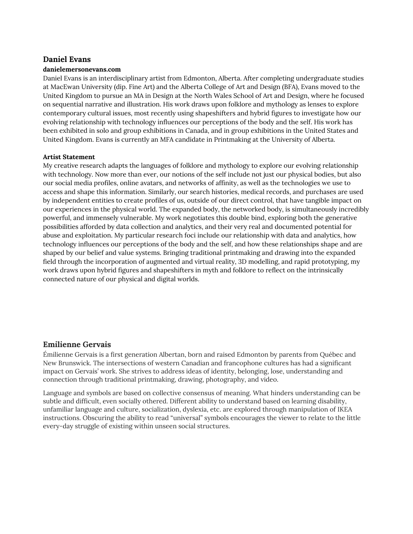## **Daniel Evans**

#### **danielemersonevans.com**

Daniel Evans is an interdisciplinary artist from Edmonton, Alberta. After completing undergraduate studies at MacEwan University (dip. Fine Art) and the Alberta College of Art and Design (BFA), Evans moved to the United Kingdom to pursue an MA in Design at the North Wales School of Art and Design, where he focused on sequential narrative and illustration. His work draws upon folklore and mythology as lenses to explore contemporary cultural issues, most recently using shapeshifters and hybrid figures to investigate how our evolving relationship with technology influences our perceptions of the body and the self. His work has been exhibited in solo and group exhibitions in Canada, and in group exhibitions in the United States and United Kingdom. Evans is currently an MFA candidate in Printmaking at the University of Alberta.

#### **Artist Statement**

My creative research adapts the languages of folklore and mythology to explore our evolving relationship with technology. Now more than ever, our notions of the self include not just our physical bodies, but also our social media profiles, online avatars, and networks of affinity, as well as the technologies we use to access and shape this information. Similarly, our search histories, medical records, and purchases are used by independent entities to create profiles of us, outside of our direct control, that have tangible impact on our experiences in the physical world. The expanded body, the networked body, is simultaneously incredibly powerful, and immensely vulnerable. My work negotiates this double bind, exploring both the generative possibilities afforded by data collection and analytics, and their very real and documented potential for abuse and exploitation. My particular research foci include our relationship with data and analytics, how technology influences our perceptions of the body and the self, and how these relationships shape and are shaped by our belief and value systems. Bringing traditional printmaking and drawing into the expanded field through the incorporation of augmented and virtual reality, 3D modelling, and rapid prototyping, my work draws upon hybrid figures and shapeshifters in myth and folklore to reflect on the intrinsically connected nature of our physical and digital worlds.

## **Emilienne Gervais**

Émilienne Gervais is a first generation Albertan, born and raised Edmonton by parents from Québec and New Brunswick. The intersections of western Canadian and francophone cultures has had a significant impact on Gervais' work. She strives to address ideas of identity, belonging, lose, understanding and connection through traditional printmaking, drawing, photography, and video.

Language and symbols are based on collective consensus of meaning. What hinders understanding can be subtle and difficult, even socially othered. Different ability to understand based on learning disability, unfamiliar language and culture, socialization, dyslexia, etc. are explored through manipulation of IKEA instructions. Obscuring the ability to read "universal" symbols encourages the viewer to relate to the little every-day struggle of existing within unseen social structures.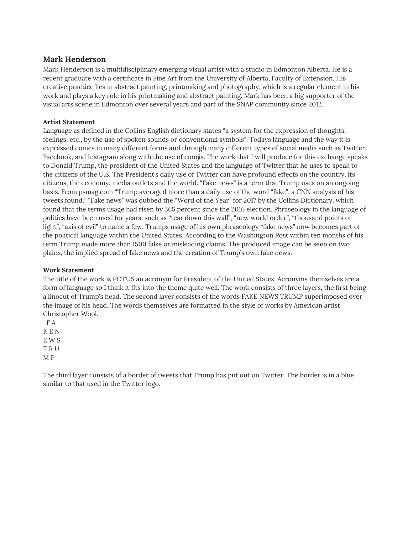## **Mark Henderson**

Mark Henderson is a multidisciplinary emerging visual artist with a studio in Edmonton Alberta. He is a recent graduate with a certificate in Fine Art from the University of Alberta, Faculty of Extension. His creative practice lies in abstract painting, printmaking and photography, which is a regular element in his work and plays a key role in his printmaking and abstract painting. Mark has been a big supporter of the visual arts scene in Edmonton over several years and part of the SNAP community since 2012.

## **Artist Statement**

Language as defined in the Collins English dictionary states "a system for the expression of thoughts, feelings, etc., by the use of spoken sounds or conventional symbols". Todays language and the way it is expressed comes in many different forms and through many different types of social media such as Twitter, Facebook, and Instagram along with the use of emojis. The work that I will produce for this exchange speaks to Donald Trump, the president of the United States and the language of Twitter that he uses to speak to the citizens of the U.S. The President's daily use of Twitter can have profound effects on the country, its citizens, the economy, media outlets and the world. "Fake news" is a term that Trump uses on an ongoing basis. From psmag.com "Trump averaged more than a daily use of the word "fake", a CNN analysis of his tweets found." "Fake news" was dubbed the "Word of the Year" for 2017 by the Collins Dictionary, which found that the terms usage had risen by 365 percent since the 2016 election. Phraseology in the language of politics have been used for years, such as "tear down this wall", "new world order", "thousand points of light", "axis of evil" to name a few. Trumps usage of his own phraseology "fake news" now becomes part of the political language within the United States. According to the Washington Post within ten months of his term Trump made more than 1500 false or misleading claims. The produced image can be seen on two plains, the implied spread of fake news and the creation of Trump's own fake news.

## **Work Statement**

The title of the work is POTUS an acronym for President of the United States. Acronyms themselves are a form of language so I think it fits into the theme quite well. The work consists of three layers, the first being a linocut of Trump's head. The second layer consists of the words FAKE NEWS TRUMP superimposed over the image of his head. The words themselves are formatted in the style of works by American artist Christopher Wool.

F A K E N E W S T R U M P

The third layer consists of a border of tweets that Trump has put out on Twitter. The border is in a blue, similar to that used in the Twitter logo.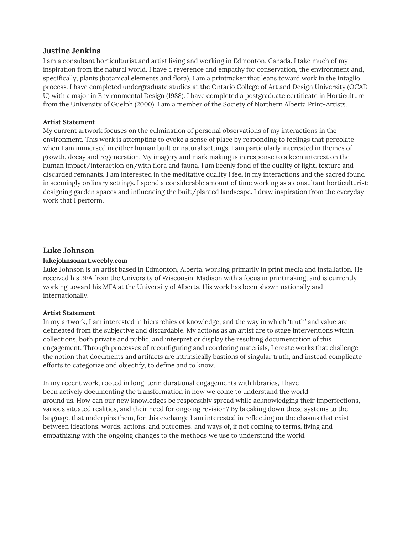## **Justine Jenkins**

I am a consultant horticulturist and artist living and working in Edmonton, Canada. I take much of my inspiration from the natural world. I have a reverence and empathy for conservation, the environment and, specifically, plants (botanical elements and flora). I am a printmaker that leans toward work in the intaglio process. I have completed undergraduate studies at the Ontario College of Art and Design University (OCAD U) with a major in Environmental Design (1988). I have completed a postgraduate certificate in Horticulture from the University of Guelph (2000). I am a member of the Society of Northern Alberta Print-Artists.

## **Artist Statement**

My current artwork focuses on the culmination of personal observations of my interactions in the environment. This work is attempting to evoke a sense of place by responding to feelings that percolate when I am immersed in either human built or natural settings. I am particularly interested in themes of growth, decay and regeneration. My imagery and mark making is in response to a keen interest on the human impact/interaction on/with flora and fauna. I am keenly fond of the quality of light, texture and discarded remnants. I am interested in the meditative quality I feel in my interactions and the sacred found in seemingly ordinary settings. I spend a considerable amount of time working as a consultant horticulturist: designing garden spaces and influencing the built/planted landscape. I draw inspiration from the everyday work that I perform.

## **Luke Johnson**

#### **lukejohnsonart.weebly.com**

Luke Johnson is an artist based in Edmonton, Alberta, working primarily in print media and installation. He received his BFA from the University of Wisconsin-Madison with a focus in printmaking, and is currently working toward his MFA at the University of Alberta. His work has been shown nationally and internationally.

#### **Artist Statement**

In my artwork, I am interested in hierarchies of knowledge, and the way in which 'truth' and value are delineated from the subjective and discardable. My actions as an artist are to stage interventions within collections, both private and public, and interpret or display the resulting documentation of this engagement. Through processes of reconfiguring and reordering materials, I create works that challenge the notion that documents and artifacts are intrinsically bastions of singular truth, and instead complicate efforts to categorize and objectify, to define and to know.

In my recent work, rooted in long-term durational engagements with libraries, I have been actively documenting the transformation in how we come to understand the world around us. How can our new knowledges be responsibly spread while acknowledging their imperfections, various situated realities, and their need for ongoing revision? By breaking down these systems to the language that underpins them, for this exchange I am interested in reflecting on the chasms that exist between ideations, words, actions, and outcomes, and ways of, if not coming to terms, living and empathizing with the ongoing changes to the methods we use to understand the world.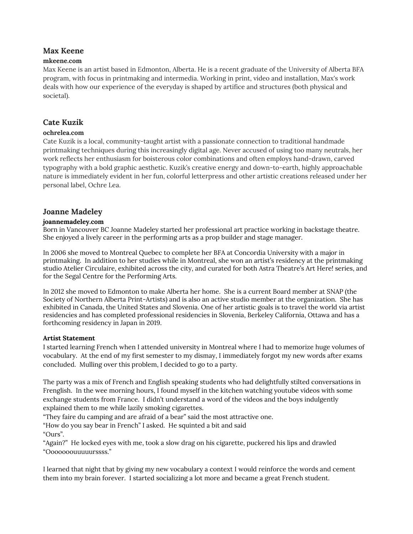# **Max Keene**

## **mkeene.com**

Max Keene is an artist based in Edmonton, Alberta. He is a recent graduate of the University of Alberta BFA program, with focus in printmaking and intermedia. Working in print, video and installation, Max's work deals with how our experience of the everyday is shaped by artifice and structures (both physical and societal).

# **Cate Kuzik**

## **ochrelea.com**

Cate Kuzik is a local, community-taught artist with a passionate connection to traditional handmade printmaking techniques during this increasingly digital age. Never accused of using too many neutrals, her work reflects her enthusiasm for boisterous color combinations and often employs hand-drawn, carved typography with a bold graphic aesthetic. Kuzik's creative energy and down-to-earth, highly approachable nature is immediately evident in her fun, colorful letterpress and other artistic creations released under her personal label, Ochre Lea.

# **Joanne Madeley**

## **joannemadeley.com**

Born in Vancouver BC Joanne Madeley started her professional art practice working in backstage theatre. She enjoyed a lively career in the performing arts as a prop builder and stage manager.

In 2006 she moved to Montreal Quebec to complete her BFA at Concordia University with a major in printmaking. In addition to her studies while in Montreal, she won an artist's residency at the printmaking studio Atelier Circulaire, exhibited across the city, and curated for both Astra Theatre's Art Here! series, and for the Segal Centre for the Performing Arts.

In 2012 she moved to Edmonton to make Alberta her home. She is a current Board member at SNAP (the Society of Northern Alberta Print-Artists) and is also an active studio member at the organization. She has exhibited in Canada, the United States and Slovenia. One of her artistic goals is to travel the world via artist residencies and has completed professional residencies in Slovenia, Berkeley California, Ottawa and has a forthcoming residency in Japan in 2019.

## **Artist Statement**

I started learning French when I attended university in Montreal where I had to memorize huge volumes of vocabulary. At the end of my first semester to my dismay, I immediately forgot my new words after exams concluded. Mulling over this problem, I decided to go to a party.

The party was a mix of French and English speaking students who had delightfully stilted conversations in Frenglish. In the wee morning hours, I found myself in the kitchen watching youtube videos with some exchange students from France. I didn't understand a word of the videos and the boys indulgently explained them to me while lazily smoking cigarettes.

"They faire du camping and are afraid of a bear" said the most attractive one.

"How do you say bear in French" I asked. He squinted a bit and said "Ours".

"Again?" He locked eyes with me, took a slow drag on his cigarette, puckered his lips and drawled "Ooooooouuuuurssss."

I learned that night that by giving my new vocabulary a context I would reinforce the words and cement them into my brain forever. I started socializing a lot more and became a great French student.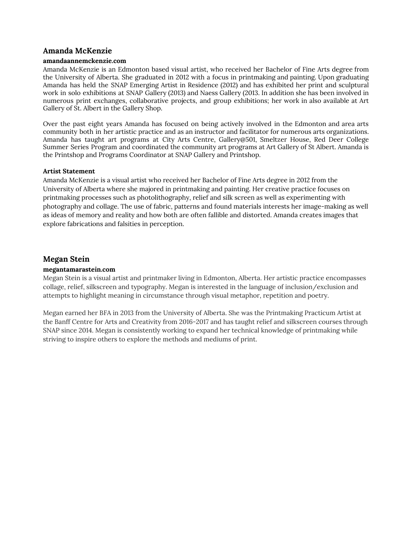## **Amanda McKenzie**

#### **amandaannemckenzie.com**

Amanda McKenzie is an Edmonton based visual artist, who received her Bachelor of Fine Arts degree from the University of Alberta. She graduated in 2012 with a focus in printmaking and painting. Upon graduating Amanda has held the SNAP Emerging Artist in Residence (2012) and has exhibited her print and sculptural work in solo exhibitions at SNAP Gallery (2013) and Naess Gallery (2013. In addition she has been involved in numerous print exchanges, collaborative projects, and group exhibitions; her work in also available at Art Gallery of St. Albert in the Gallery Shop.

Over the past eight years Amanda has focused on being actively involved in the Edmonton and area arts community both in her artistic practice and as an instructor and facilitator for numerous arts organizations. Amanda has taught art programs at City Arts Centre, Gallery@501, Smeltzer House, Red Deer College Summer Series Program and coordinated the community art programs at Art Gallery of St Albert. Amanda is the Printshop and Programs Coordinator at SNAP Gallery and Printshop.

#### **Artist Statement**

Amanda McKenzie is a visual artist who received her Bachelor of Fine Arts degree in 2012 from the University of Alberta where she majored in printmaking and painting. Her creative practice focuses on printmaking processes such as photolithography, relief and silk screen as well as experimenting with photography and collage. The use of fabric, patterns and found materials interests her image-making as well as ideas of memory and reality and how both are often fallible and distorted. Amanda creates images that explore fabrications and falsities in perception.

# **Megan Stein**

## **megantamarastein.com**

Megan Stein is a visual artist and printmaker living in Edmonton, Alberta. Her artistic practice encompasses collage, relief, silkscreen and typography. Megan is interested in the language of inclusion/exclusion and attempts to highlight meaning in circumstance through visual metaphor, repetition and poetry.

Megan earned her BFA in 2013 from the University of Alberta. She was the Printmaking Practicum Artist at the Banff Centre for Arts and Creativity from 2016-2017 and has taught relief and silkscreen courses through SNAP since 2014. Megan is consistently working to expand her technical knowledge of printmaking while striving to inspire others to explore the methods and mediums of print.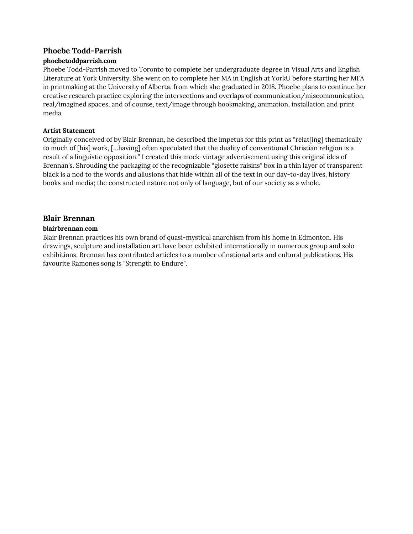# **Phoebe Todd-Parrish**

## **phoebetoddparrish.com**

Phoebe Todd-Parrish moved to Toronto to complete her undergraduate degree in Visual Arts and English Literature at York University. She went on to complete her MA in English at YorkU before starting her MFA in printmaking at the University of Alberta, from which she graduated in 2018. Phoebe plans to continue her creative research practice exploring the intersections and overlaps of communication/miscommunication, real/imagined spaces, and of course, text/image through bookmaking, animation, installation and print media.

## **Artist Statement**

Originally conceived of by Blair Brennan, he described the impetus for this print as "relat[ing] thematically to much of [his] work, […having] often speculated that the duality of conventional Christian religion is a result of a linguistic opposition." I created this mock-vintage advertisement using this original idea of Brennan's. Shrouding the packaging of the recognizable "glosette raisins" box in a thin layer of transparent black is a nod to the words and allusions that hide within all of the text in our day-to-day lives, history books and media; the constructed nature not only of language, but of our society as a whole.

# **Blair Brennan**

## **blairbrennan.com**

Blair Brennan practices his own brand of quasi-mystical anarchism from his home in Edmonton. His drawings, sculpture and installation art have been exhibited internationally in numerous group and solo exhibitions. Brennan has contributed articles to a number of national arts and cultural publications. His favourite Ramones song is "Strength to Endure".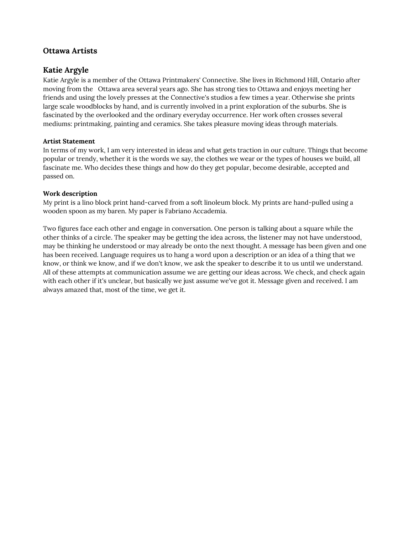# **Ottawa Artists**

# **Katie Argyle**

Katie Argyle is a member of the Ottawa Printmakers' Connective. She lives in Richmond Hill, Ontario after moving from the Ottawa area several years ago. She has strong ties to Ottawa and enjoys meeting her friends and using the lovely presses at the Connective's studios a few times a year. Otherwise she prints large scale woodblocks by hand, and is currently involved in a print exploration of the suburbs. She is fascinated by the overlooked and the ordinary everyday occurrence. Her work often crosses several mediums: printmaking, painting and ceramics. She takes pleasure moving ideas through materials.

## **Artist Statement**

In terms of my work, I am very interested in ideas and what gets traction in our culture. Things that become popular or trendy, whether it is the words we say, the clothes we wear or the types of houses we build, all fascinate me. Who decides these things and how do they get popular, become desirable, accepted and passed on.

## **Work description**

My print is a lino block print hand-carved from a soft linoleum block. My prints are hand-pulled using a wooden spoon as my baren. My paper is Fabriano Accademia.

Two figures face each other and engage in conversation. One person is talking about a square while the other thinks of a circle. The speaker may be getting the idea across, the listener may not have understood, may be thinking he understood or may already be onto the next thought. A message has been given and one has been received. Language requires us to hang a word upon a description or an idea of a thing that we know, or think we know, and if we don't know, we ask the speaker to describe it to us until we understand. All of these attempts at communication assume we are getting our ideas across. We check, and check again with each other if it's unclear, but basically we just assume we've got it. Message given and received. I am always amazed that, most of the time, we get it.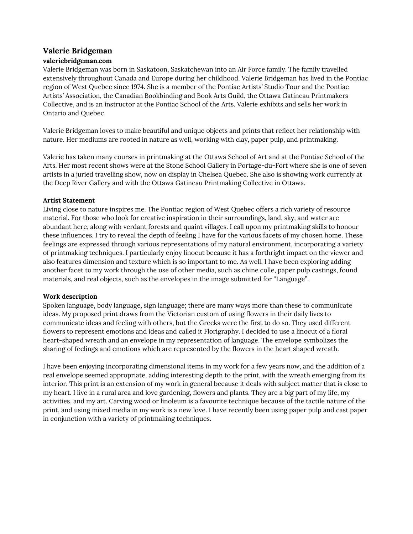# **Valerie Bridgeman**

## **valeriebridgeman.com**

Valerie Bridgeman was born in Saskatoon, Saskatchewan into an Air Force family. The family travelled extensively throughout Canada and Europe during her childhood. Valerie Bridgeman has lived in the Pontiac region of West Quebec since 1974. She is a member of the Pontiac Artists' Studio Tour and the Pontiac Artists' Association, the Canadian Bookbinding and Book Arts Guild, the Ottawa Gatineau Printmakers Collective, and is an instructor at the Pontiac School of the Arts. Valerie exhibits and sells her work in Ontario and Quebec.

Valerie Bridgeman loves to make beautiful and unique objects and prints that reflect her relationship with nature. Her mediums are rooted in nature as well, working with clay, paper pulp, and printmaking.

Valerie has taken many courses in printmaking at the Ottawa School of Art and at the Pontiac School of the Arts. Her most recent shows were at the Stone School Gallery in Portage-du-Fort where she is one of seven artists in a juried travelling show, now on display in Chelsea Quebec. She also is showing work currently at the Deep River Gallery and with the Ottawa Gatineau Printmaking Collective in Ottawa.

## **Artist Statement**

Living close to nature inspires me. The Pontiac region of West Quebec offers a rich variety of resource material. For those who look for creative inspiration in their surroundings, land, sky, and water are abundant here, along with verdant forests and quaint villages. I call upon my printmaking skills to honour these influences. I try to reveal the depth of feeling I have for the various facets of my chosen home. These feelings are expressed through various representations of my natural environment, incorporating a variety of printmaking techniques. I particularly enjoy linocut because it has a forthright impact on the viewer and also features dimension and texture which is so important to me. As well, I have been exploring adding another facet to my work through the use of other media, such as chine colle, paper pulp castings, found materials, and real objects, such as the envelopes in the image submitted for "Language".

## **Work description**

Spoken language, body language, sign language; there are many ways more than these to communicate ideas. My proposed print draws from the Victorian custom of using flowers in their daily lives to communicate ideas and feeling with others, but the Greeks were the first to do so. They used different flowers to represent emotions and ideas and called it Florigraphy. I decided to use a linocut of a floral heart-shaped wreath and an envelope in my representation of language. The envelope symbolizes the sharing of feelings and emotions which are represented by the flowers in the heart shaped wreath.

I have been enjoying incorporating dimensional items in my work for a few years now, and the addition of a real envelope seemed appropriate, adding interesting depth to the print, with the wreath emerging from its interior. This print is an extension of my work in general because it deals with subject matter that is close to my heart. I live in a rural area and love gardening, flowers and plants. They are a big part of my life, my activities, and my art. Carving wood or linoleum is a favourite technique because of the tactile nature of the print, and using mixed media in my work is a new love. I have recently been using paper pulp and cast paper in conjunction with a variety of printmaking techniques.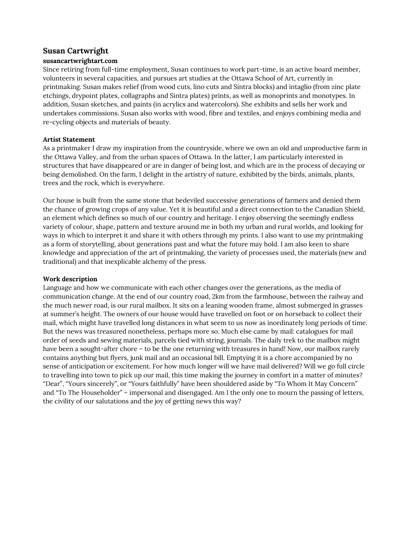## **Susan Cartwright**

#### **susancartwrightart.com**

Since retiring from full-time employment, Susan continues to work part-time, is an active board member, volunteers in several capacities, and pursues art studies at the Ottawa School of Art, currently in printmaking. Susan makes relief (from wood cuts, lino cuts and Sintra blocks) and intaglio (from zinc plate etchings, drypoint plates, collagraphs and Sintra plates) prints, as well as monoprints and monotypes. In addition, Susan sketches, and paints (in acrylics and watercolors). She exhibits and sells her work and undertakes commissions. Susan also works with wood, fibre and textiles, and enjoys combining media and re-cycling objects and materials of beauty.

## **Artist Statement**

As a printmaker I draw my inspiration from the countryside, where we own an old and unproductive farm in the Ottawa Valley, and from the urban spaces of Ottawa. In the latter, I am particularly interested in structures that have disappeared or are in danger of being lost, and which are in the process of decaying or being demolished. On the farm, I delight in the artistry of nature, exhibited by the birds, animals, plants, trees and the rock, which is everywhere.

Our house is built from the same stone that bedeviled successive generations of farmers and denied them the chance of growing crops of any value. Yet it is beautiful and a direct connection to the Canadian Shield, an element which defines so much of our country and heritage. I enjoy observing the seemingly endless variety of colour, shape, pattern and texture around me in both my urban and rural worlds, and looking for ways in which to interpret it and share it with others through my prints. I also want to use my printmaking as a form of storytelling, about generations past and what the future may hold. I am also keen to share knowledge and appreciation of the art of printmaking, the variety of processes used, the materials (new and traditional) and that inexplicable alchemy of the press.

#### **Work description**

Language and how we communicate with each other changes over the generations, as the media of communication change. At the end of our country road, 2km from the farmhouse, between the railway and the much newer road, is our rural mailbox. It sits on a leaning wooden frame, almost submerged in grasses at summer's height. The owners of our house would have travelled on foot or on horseback to collect their mail, which might have travelled long distances in what seem to us now as inordinately long periods of time. But the news was treasured nonetheless, perhaps more so. Much else came by mail: catalogues for mail order of seeds and sewing materials, parcels tied with string, journals. The daily trek to the mailbox might have been a sought-after chore – to be the one returning with treasures in hand! Now, our mailbox rarely contains anything but flyers, junk mail and an occasional bill. Emptying it is a chore accompanied by no sense of anticipation or excitement. For how much longer will we have mail delivered? Will we go full circle to travelling into town to pick up our mail, this time making the journey in comfort in a matter of minutes? "Dear", "Yours sincerely", or "Yours faithfully" have been shouldered aside by "To Whom It May Concern" and "To The Householder" – impersonal and disengaged. Am I the only one to mourn the passing of letters, the civility of our salutations and the joy of getting news this way?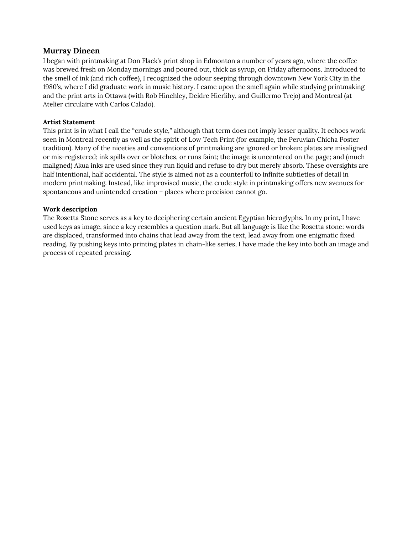## **Murray Dineen**

I began with printmaking at Don Flack's print shop in Edmonton a number of years ago, where the coffee was brewed fresh on Monday mornings and poured out, thick as syrup, on Friday afternoons. Introduced to the smell of ink (and rich coffee), I recognized the odour seeping through downtown New York City in the 1980's, where I did graduate work in music history. I came upon the smell again while studying printmaking and the print arts in Ottawa (with Rob Hinchley, Deidre Hierlihy, and Guillermo Trejo) and Montreal (at Atelier circulaire with Carlos Calado).

#### **Artist Statement**

This print is in what I call the "crude style," although that term does not imply lesser quality. It echoes work seen in Montreal recently as well as the spirit of Low Tech Print (for example, the Peruvian Chicha Poster tradition). Many of the niceties and conventions of printmaking are ignored or broken: plates are misaligned or mis-registered; ink spills over or blotches, or runs faint; the image is uncentered on the page; and (much maligned) Akua inks are used since they run liquid and refuse to dry but merely absorb. These oversights are half intentional, half accidental. The style is aimed not as a counterfoil to infinite subtleties of detail in modern printmaking. Instead, like improvised music, the crude style in printmaking offers new avenues for spontaneous and unintended creation – places where precision cannot go.

#### **Work description**

The Rosetta Stone serves as a key to deciphering certain ancient Egyptian hieroglyphs. In my print, I have used keys as image, since a key resembles a question mark. But all language is like the Rosetta stone: words are displaced, transformed into chains that lead away from the text, lead away from one enigmatic fixed reading. By pushing keys into printing plates in chain-like series, I have made the key into both an image and process of repeated pressing.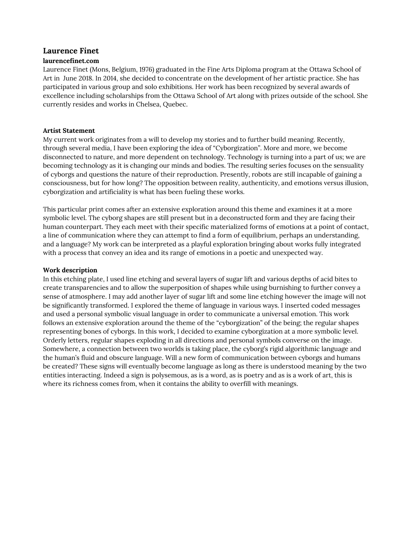## **Laurence Finet**

#### **laurencefinet.com**

Laurence Finet (Mons, Belgium, 1976) graduated in the Fine Arts Diploma program at the Ottawa School of Art in June 2018. In 2014, she decided to concentrate on the development of her artistic practice. She has participated in various group and solo exhibitions. Her work has been recognized by several awards of excellence including scholarships from the Ottawa School of Art along with prizes outside of the school. She currently resides and works in Chelsea, Quebec.

#### **Artist Statement**

My current work originates from a will to develop my stories and to further build meaning. Recently, through several media, I have been exploring the idea of "Cyborgization". More and more, we become disconnected to nature, and more dependent on technology. Technology is turning into a part of us; we are becoming technology as it is changing our minds and bodies. The resulting series focuses on the sensuality of cyborgs and questions the nature of their reproduction. Presently, robots are still incapable of gaining a consciousness, but for how long? The opposition between reality, authenticity, and emotions versus illusion, cyborgization and artificiality is what has been fueling these works.

This particular print comes after an extensive exploration around this theme and examines it at a more symbolic level. The cyborg shapes are still present but in a deconstructed form and they are facing their human counterpart. They each meet with their specific materialized forms of emotions at a point of contact, a line of communication where they can attempt to find a form of equilibrium, perhaps an understanding, and a language? My work can be interpreted as a playful exploration bringing about works fully integrated with a process that convey an idea and its range of emotions in a poetic and unexpected way.

#### **Work description**

In this etching plate, I used line etching and several layers of sugar lift and various depths of acid bites to create transparencies and to allow the superposition of shapes while using burnishing to further convey a sense of atmosphere. I may add another layer of sugar lift and some line etching however the image will not be significantly transformed. I explored the theme of language in various ways. I inserted coded messages and used a personal symbolic visual language in order to communicate a universal emotion. This work follows an extensive exploration around the theme of the "cyborgization" of the being; the regular shapes representing bones of cyborgs. In this work, I decided to examine cyborgization at a more symbolic level. Orderly letters, regular shapes exploding in all directions and personal symbols converse on the image. Somewhere, a connection between two worlds is taking place, the cyborg's rigid algorithmic language and the human's fluid and obscure language. Will a new form of communication between cyborgs and humans be created? These signs will eventually become language as long as there is understood meaning by the two entities interacting. Indeed a sign is polysemous, as is a word, as is poetry and as is a work of art, this is where its richness comes from, when it contains the ability to overfill with meanings.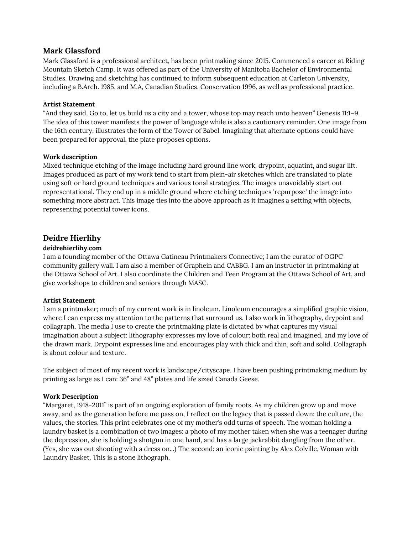## **Mark Glassford**

Mark Glassford is a professional architect, has been printmaking since 2015. Commenced a career at Riding Mountain Sketch Camp. It was offered as part of the University of Manitoba Bachelor of Environmental Studies. Drawing and sketching has continued to inform subsequent education at Carleton University, including a B.Arch. 1985, and M.A, Canadian Studies, Conservation 1996, as well as professional practice.

#### **Artist Statement**

"And they said, Go to, let us build us a city and a tower, whose top may reach unto heaven" Genesis 11:1–9. The idea of this tower manifests the power of language while is also a cautionary reminder. One image from the 16th century, illustrates the form of the Tower of Babel. Imagining that alternate options could have been prepared for approval, the plate proposes options.

#### **Work description**

Mixed technique etching of the image including hard ground line work, drypoint, aquatint, and sugar lift. Images produced as part of my work tend to start from plein-air sketches which are translated to plate using soft or hard ground techniques and various tonal strategies. The images unavoidably start out representational. They end up in a middle ground where etching techniques 'repurpose' the image into something more abstract. This image ties into the above approach as it imagines a setting with objects, representing potential tower icons.

# **Deidre Hierlihy**

## **deidrehierlihy.com**

I am a founding member of the Ottawa Gatineau Printmakers Connective; I am the curator of OGPC community gallery wall. I am also a member of Graphein and CABBG. I am an instructor in printmaking at the Ottawa School of Art. I also coordinate the Children and Teen Program at the Ottawa School of Art, and give workshops to children and seniors through MASC.

## **Artist Statement**

I am a printmaker; much of my current work is in linoleum. Linoleum encourages a simplified graphic vision, where I can express my attention to the patterns that surround us. I also work in lithography, drypoint and collagraph. The media I use to create the printmaking plate is dictated by what captures my visual imagination about a subject: lithography expresses my love of colour: both real and imagined, and my love of the drawn mark. Drypoint expresses line and encourages play with thick and thin, soft and solid. Collagraph is about colour and texture.

The subject of most of my recent work is landscape/cityscape. I have been pushing printmaking medium by printing as large as I can: 36" and 48" plates and life sized Canada Geese.

## **Work Description**

"Margaret, 1918-2011" is part of an ongoing exploration of family roots. As my children grow up and move away, and as the generation before me pass on, I reflect on the legacy that is passed down: the culture, the values, the stories. This print celebrates one of my mother's odd turns of speech. The woman holding a laundry basket is a combination of two images: a photo of my mother taken when she was a teenager during the depression, she is holding a shotgun in one hand, and has a large jackrabbit dangling from the other. (Yes, she was out shooting with a dress on...) The second: an iconic painting by Alex Colville, Woman with Laundry Basket. This is a stone lithograph.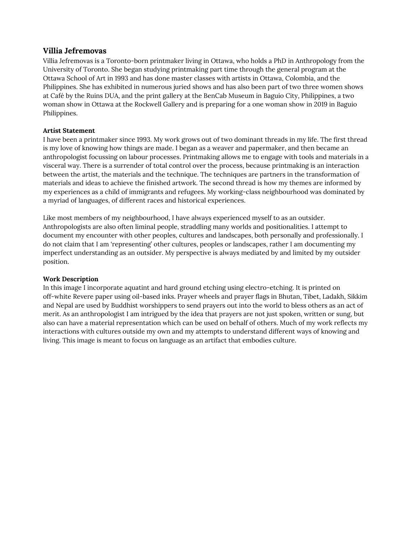## **Villia Jefremovas**

Villia Jefremovas is a Toronto-born printmaker living in Ottawa, who holds a PhD in Anthropology from the University of Toronto. She began studying printmaking part time through the general program at the Ottawa School of Art in 1993 and has done master classes with artists in Ottawa, Colombia, and the Philippines. She has exhibited in numerous juried shows and has also been part of two three women shows at Café by the Ruins DUA, and the print gallery at the BenCab Museum in Baguio City, Philippines, a two woman show in Ottawa at the Rockwell Gallery and is preparing for a one woman show in 2019 in Baguio Philippines.

#### **Artist Statement**

I have been a printmaker since 1993. My work grows out of two dominant threads in my life. The first thread is my love of knowing how things are made. I began as a weaver and papermaker, and then became an anthropologist focussing on labour processes. Printmaking allows me to engage with tools and materials in a visceral way. There is a surrender of total control over the process, because printmaking is an interaction between the artist, the materials and the technique. The techniques are partners in the transformation of materials and ideas to achieve the finished artwork. The second thread is how my themes are informed by my experiences as a child of immigrants and refugees. My working-class neighbourhood was dominated by a myriad of languages, of different races and historical experiences.

Like most members of my neighbourhood, I have always experienced myself to as an outsider. Anthropologists are also often liminal people, straddling many worlds and positionalities. I attempt to document my encounter with other peoples, cultures and landscapes, both personally and professionally. I do not claim that I am 'representing' other cultures, peoples or landscapes, rather I am documenting my imperfect understanding as an outsider. My perspective is always mediated by and limited by my outsider position.

#### **Work Description**

In this image I incorporate aquatint and hard ground etching using electro-etching. It is printed on off-white Revere paper using oil-based inks. Prayer wheels and prayer flags in Bhutan, Tibet, Ladakh, Sikkim and Nepal are used by Buddhist worshippers to send prayers out into the world to bless others as an act of merit. As an anthropologist I am intrigued by the idea that prayers are not just spoken, written or sung, but also can have a material representation which can be used on behalf of others. Much of my work reflects my interactions with cultures outside my own and my attempts to understand different ways of knowing and living. This image is meant to focus on language as an artifact that embodies culture.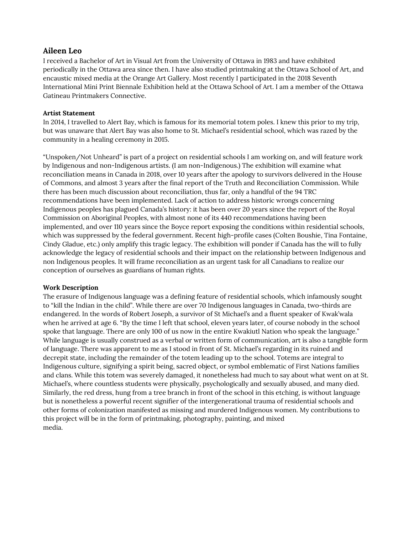# **Aileen Leo**

I received a Bachelor of Art in Visual Art from the University of Ottawa in 1983 and have exhibited periodically in the Ottawa area since then. I have also studied printmaking at the Ottawa School of Art, and encaustic mixed media at the Orange Art Gallery. Most recently I participated in the 2018 Seventh International Mini Print Biennale Exhibition held at the Ottawa School of Art. I am a member of the Ottawa Gatineau Printmakers Connective.

## **Artist Statement**

In 2014, I travelled to Alert Bay, which is famous for its memorial totem poles. I knew this prior to my trip, but was unaware that Alert Bay was also home to St. Michael's residential school, which was razed by the community in a healing ceremony in 2015.

"Unspoken/Not Unheard" is part of a project on residential schools I am working on, and will feature work by Indigenous and non-Indigenous artists. (I am non-Indigenous.) The exhibition will examine what reconciliation means in Canada in 2018, over 10 years after the apology to survivors delivered in the House of Commons, and almost 3 years after the final report of the Truth and Reconciliation Commission. While there has been much discussion about reconciliation, thus far, only a handful of the 94 TRC recommendations have been implemented. Lack of action to address historic wrongs concerning Indigenous peoples has plagued Canada's history: it has been over 20 years since the report of the Royal Commission on Aboriginal Peoples, with almost none of its 440 recommendations having been implemented, and over 110 years since the Boyce report exposing the conditions within residential schools, which was suppressed by the federal government. Recent high-profile cases (Colten Boushie, Tina Fontaine, Cindy Gladue, etc.) only amplify this tragic legacy. The exhibition will ponder if Canada has the will to fully acknowledge the legacy of residential schools and their impact on the relationship between Indigenous and non Indigenous peoples. It will frame reconciliation as an urgent task for all Canadians to realize our conception of ourselves as guardians of human rights.

## **Work Description**

The erasure of Indigenous language was a defining feature of residential schools, which infamously sought to "kill the Indian in the child". While there are over 70 Indigenous languages in Canada, two-thirds are endangered. In the words of Robert Joseph, a survivor of St Michael's and a fluent speaker of Kwak'wala when he arrived at age 6. "By the time I left that school, eleven years later, of course nobody in the school spoke that language. There are only 100 of us now in the entire Kwakiutl Nation who speak the language." While language is usually construed as a verbal or written form of communication, art is also a tangible form of language. There was apparent to me as I stood in front of St. Michael's regarding in its ruined and decrepit state, including the remainder of the totem leading up to the school. Totems are integral to Indigenous culture, signifying a spirit being, sacred object, or symbol emblematic of First Nations families and clans. While this totem was severely damaged, it nonetheless had much to say about what went on at St. Michael's, where countless students were physically, psychologically and sexually abused, and many died. Similarly, the red dress, hung from a tree branch in front of the school in this etching, is without language but is nonetheless a powerful recent signifier of the intergenerational trauma of residential schools and other forms of colonization manifested as missing and murdered Indigenous women. My contributions to this project will be in the form of printmaking, photography, painting, and mixed media.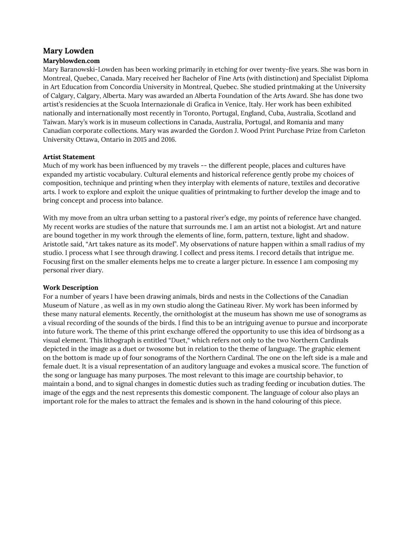# **Mary Lowden**

### **Maryblowden.com**

Mary Baranowski-Lowden has been working primarily in etching for over twenty-five years. She was born in Montreal, Quebec, Canada. Mary received her Bachelor of Fine Arts (with distinction) and Specialist Diploma in Art Education from Concordia University in Montreal, Quebec. She studied printmaking at the University of Calgary, Calgary, Alberta. Mary was awarded an Alberta Foundation of the Arts Award. She has done two artist's residencies at the Scuola Internazionale di Grafica in Venice, Italy. Her work has been exhibited nationally and internationally most recently in Toronto, Portugal, England, Cuba, Australia, Scotland and Taiwan. Mary's work is in museum collections in Canada, Australia, Portugal, and Romania and many Canadian corporate collections. Mary was awarded the Gordon J. Wood Print Purchase Prize from Carleton University Ottawa, Ontario in 2015 and 2016.

#### **Artist Statement**

Much of my work has been influenced by my travels -- the different people, places and cultures have expanded my artistic vocabulary. Cultural elements and historical reference gently probe my choices of composition, technique and printing when they interplay with elements of nature, textiles and decorative arts. I work to explore and exploit the unique qualities of printmaking to further develop the image and to bring concept and process into balance.

With my move from an ultra urban setting to a pastoral river's edge, my points of reference have changed. My recent works are studies of the nature that surrounds me. I am an artist not a biologist. Art and nature are bound together in my work through the elements of line, form, pattern, texture, light and shadow. Aristotle said, "Art takes nature as its model". My observations of nature happen within a small radius of my studio. I process what I see through drawing. I collect and press items. I record details that intrigue me. Focusing first on the smaller elements helps me to create a larger picture. In essence I am composing my personal river diary.

#### **Work Description**

For a number of years I have been drawing animals, birds and nests in the Collections of the Canadian Museum of Nature , as well as in my own studio along the Gatineau River. My work has been informed by these many natural elements. Recently, the ornithologist at the museum has shown me use of sonograms as a visual recording of the sounds of the birds. I find this to be an intriguing avenue to pursue and incorporate into future work. The theme of this print exchange offered the opportunity to use this idea of birdsong as a visual element. This lithograph is entitled "Duet," which refers not only to the two Northern Cardinals depicted in the image as a duet or twosome but in relation to the theme of language. The graphic element on the bottom is made up of four sonograms of the Northern Cardinal. The one on the left side is a male and female duet. It is a visual representation of an auditory language and evokes a musical score. The function of the song or language has many purposes. The most relevant to this image are courtship behavior, to maintain a bond, and to signal changes in domestic duties such as trading feeding or incubation duties. The image of the eggs and the nest represents this domestic component. The language of colour also plays an important role for the males to attract the females and is shown in the hand colouring of this piece.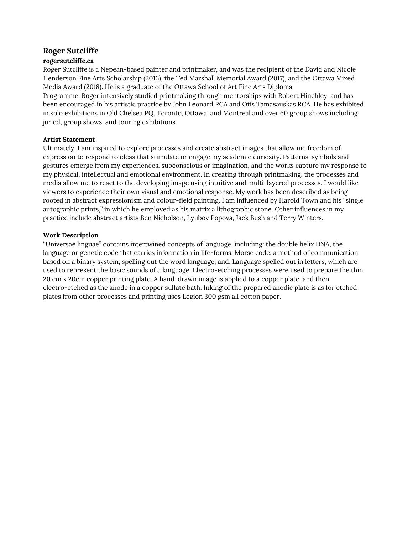# **Roger Sutcliffe**

## **rogersutcliffe.ca**

Roger Sutcliffe is a Nepean-based painter and printmaker, and was the recipient of the David and Nicole Henderson Fine Arts Scholarship (2016), the Ted Marshall Memorial Award (2017), and the Ottawa Mixed Media Award (2018). He is a graduate of the Ottawa School of Art Fine Arts Diploma Programme. Roger intensively studied printmaking through mentorships with Robert Hinchley, and has been encouraged in his artistic practice by John Leonard RCA and Otis Tamasauskas RCA. He has exhibited in solo exhibitions in Old Chelsea PQ, Toronto, Ottawa, and Montreal and over 60 group shows including juried, group shows, and touring exhibitions.

## **Artist Statement**

Ultimately, I am inspired to explore processes and create abstract images that allow me freedom of expression to respond to ideas that stimulate or engage my academic curiosity. Patterns, symbols and gestures emerge from my experiences, subconscious or imagination, and the works capture my response to my physical, intellectual and emotional environment. In creating through printmaking, the processes and media allow me to react to the developing image using intuitive and multi-layered processes. I would like viewers to experience their own visual and emotional response. My work has been described as being rooted in abstract expressionism and colour-field painting. I am influenced by Harold Town and his "single autographic prints," in which he employed as his matrix a lithographic stone. Other influences in my practice include abstract artists Ben Nicholson, Lyubov Popova, Jack Bush and Terry Winters.

## **Work Description**

"Universae linguae" contains intertwined concepts of language, including: the double helix DNA, the language or genetic code that carries information in life-forms; Morse code, a method of communication based on a binary system, spelling out the word language; and, Language spelled out in letters, which are used to represent the basic sounds of a language. Electro-etching processes were used to prepare the thin 20 cm x 20cm copper printing plate. A hand-drawn image is applied to a copper plate, and then electro-etched as the anode in a copper sulfate bath. Inking of the prepared anodic plate is as for etched plates from other processes and printing uses Legion 300 gsm all cotton paper.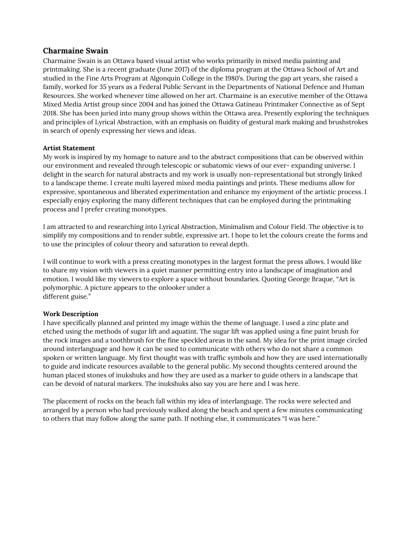## **Charmaine Swain**

Charmaine Swain is an Ottawa based visual artist who works primarily in mixed media painting and printmaking. She is a recent graduate (June 2017) of the diploma program at the Ottawa School of Art and studied in the Fine Arts Program at Algonquin College in the 1980's. During the gap art years, she raised a family, worked for 35 years as a Federal Public Servant in the Departments of National Defence and Human Resources. She worked whenever time allowed on her art. Charmaine is an executive member of the Ottawa Mixed Media Artist group since 2004 and has joined the Ottawa Gatineau Printmaker Connective as of Sept 2018. She has been juried into many group shows within the Ottawa area. Presently exploring the techniques and principles of Lyrical Abstraction, with an emphasis on fluidity of gestural mark making and brushstrokes in search of openly expressing her views and ideas.

## **Artist Statement**

My work is inspired by my homage to nature and to the abstract compositions that can be observed within our environment and revealed through telescopic or subatomic views of our ever- expanding universe. I delight in the search for natural abstracts and my work is usually non-representational but strongly linked to a landscape theme. I create multi layered mixed media paintings and prints. These mediums allow for expressive, spontaneous and liberated experimentation and enhance my enjoyment of the artistic process. I especially enjoy exploring the many different techniques that can be employed during the printmaking process and I prefer creating monotypes.

I am attracted to and researching into Lyrical Abstraction, Minimalism and Colour Field. The objective is to simplify my compositions and to render subtle, expressive art. I hope to let the colours create the forms and to use the principles of colour theory and saturation to reveal depth.

I will continue to work with a press creating monotypes in the largest format the press allows. I would like to share my vision with viewers in a quiet manner permitting entry into a landscape of imagination and emotion. I would like my viewers to explore a space without boundaries. Quoting George Braque, "Art is polymorphic. A picture appears to the onlooker under a different guise."

#### **Work Description**

I have specifically planned and printed my image within the theme of language. I used a zinc plate and etched using the methods of sugar lift and aquatint. The sugar lift was applied using a fine paint brush for the rock images and a toothbrush for the fine speckled areas in the sand. My idea for the print image circled around interlanguage and how it can be used to communicate with others who do not share a common spoken or written language. My first thought was with traffic symbols and how they are used internationally to guide and indicate resources available to the general public. My second thoughts centered around the human placed stones of inukshuks and how they are used as a marker to guide others in a landscape that can be devoid of natural markers. The inukshuks also say you are here and I was here.

The placement of rocks on the beach fall within my idea of interlanguage. The rocks were selected and arranged by a person who had previously walked along the beach and spent a few minutes communicating to others that may follow along the same path. If nothing else, it communicates "I was here."